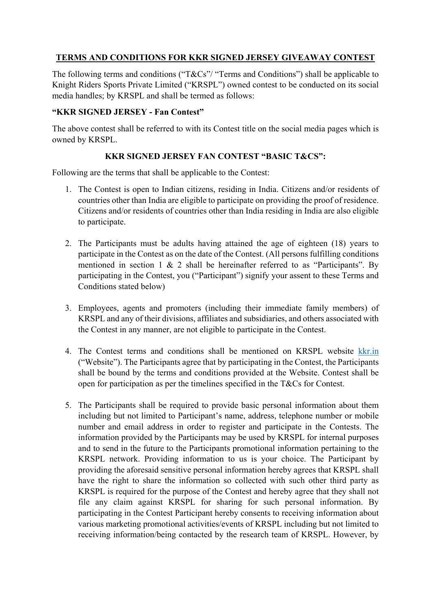## **TERMS AND CONDITIONS FOR KKR SIGNED JERSEY GIVEAWAY CONTEST**

The following terms and conditions ("T&Cs"/ "Terms and Conditions") shall be applicable to Knight Riders Sports Private Limited ("KRSPL") owned contest to be conducted on its social media handles; by KRSPL and shall be termed as follows:

## **"KKR SIGNED JERSEY - Fan Contest"**

The above contest shall be referred to with its Contest title on the social media pages which is owned by KRSPL.

## **KKR SIGNED JERSEY FAN CONTEST "BASIC T&CS":**

Following are the terms that shall be applicable to the Contest:

- 1. The Contest is open to Indian citizens, residing in India. Citizens and/or residents of countries other than India are eligible to participate on providing the proof of residence. Citizens and/or residents of countries other than India residing in India are also eligible to participate.
- 2. The Participants must be adults having attained the age of eighteen (18) years to participate in the Contest as on the date of the Contest. (All persons fulfilling conditions mentioned in section 1 & 2 shall be hereinafter referred to as "Participants". By participating in the Contest, you ("Participant") signify your assent to these Terms and Conditions stated below)
- 3. Employees, agents and promoters (including their immediate family members) of KRSPL and any of their divisions, affiliates and subsidiaries, and others associated with the Contest in any manner, are not eligible to participate in the Contest.
- 4. The Contest terms and conditions shall be mentioned on KRSPL website [kkr.in](http://www.kkr.in/)  ("Website"). The Participants agree that by participating in the Contest, the Participants shall be bound by the terms and conditions provided at the Website. Contest shall be open for participation as per the timelines specified in the T&Cs for Contest.
- 5. The Participants shall be required to provide basic personal information about them including but not limited to Participant's name, address, telephone number or mobile number and email address in order to register and participate in the Contests. The information provided by the Participants may be used by KRSPL for internal purposes and to send in the future to the Participants promotional information pertaining to the KRSPL network. Providing information to us is your choice. The Participant by providing the aforesaid sensitive personal information hereby agrees that KRSPL shall have the right to share the information so collected with such other third party as KRSPL is required for the purpose of the Contest and hereby agree that they shall not file any claim against KRSPL for sharing for such personal information. By participating in the Contest Participant hereby consents to receiving information about various marketing promotional activities/events of KRSPL including but not limited to receiving information/being contacted by the research team of KRSPL. However, by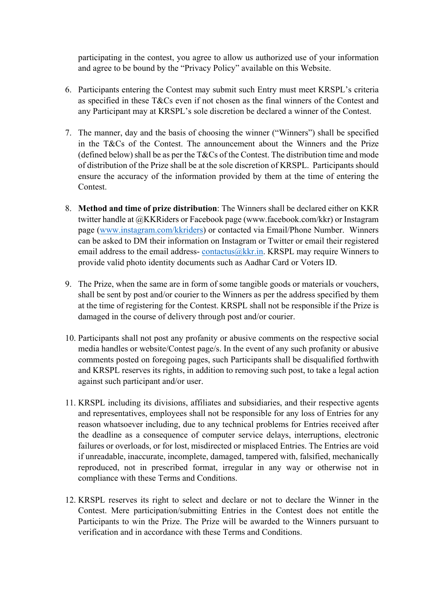participating in the contest, you agree to allow us authorized use of your information and agree to be bound by the "Privacy Policy" available on this Website.

- 6. Participants entering the Contest may submit such Entry must meet KRSPL's criteria as specified in these T&Cs even if not chosen as the final winners of the Contest and any Participant may at KRSPL's sole discretion be declared a winner of the Contest.
- 7. The manner, day and the basis of choosing the winner ("Winners") shall be specified in the T&Cs of the Contest. The announcement about the Winners and the Prize (defined below) shall be as per the  $T\&Cs$  of the Contest. The distribution time and mode of distribution of the Prize shall be at the sole discretion of KRSPL. Participants should ensure the accuracy of the information provided by them at the time of entering the Contest.
- 8. **Method and time of prize distribution**: The Winners shall be declared either on KKR twitter handle at @KKRiders or Facebook page (www.facebook.com/kkr) or Instagram page [\(www.instagram.com/kkriders\)](http://www.instagram.com/kkriders) or contacted via Email/Phone Number. Winners can be asked to DM their information on Instagram or Twitter or email their registered email address to the email address- contactus $@kkr.in.$  KRSPL may require Winners to provide valid photo identity documents such as Aadhar Card or Voters ID.
- 9. The Prize, when the same are in form of some tangible goods or materials or vouchers, shall be sent by post and/or courier to the Winners as per the address specified by them at the time of registering for the Contest. KRSPL shall not be responsible if the Prize is damaged in the course of delivery through post and/or courier.
- 10. Participants shall not post any profanity or abusive comments on the respective social media handles or website/Contest page/s. In the event of any such profanity or abusive comments posted on foregoing pages, such Participants shall be disqualified forthwith and KRSPL reserves its rights, in addition to removing such post, to take a legal action against such participant and/or user.
- 11. KRSPL including its divisions, affiliates and subsidiaries, and their respective agents and representatives, employees shall not be responsible for any loss of Entries for any reason whatsoever including, due to any technical problems for Entries received after the deadline as a consequence of computer service delays, interruptions, electronic failures or overloads, or for lost, misdirected or misplaced Entries. The Entries are void if unreadable, inaccurate, incomplete, damaged, tampered with, falsified, mechanically reproduced, not in prescribed format, irregular in any way or otherwise not in compliance with these Terms and Conditions.
- 12. KRSPL reserves its right to select and declare or not to declare the Winner in the Contest. Mere participation/submitting Entries in the Contest does not entitle the Participants to win the Prize. The Prize will be awarded to the Winners pursuant to verification and in accordance with these Terms and Conditions.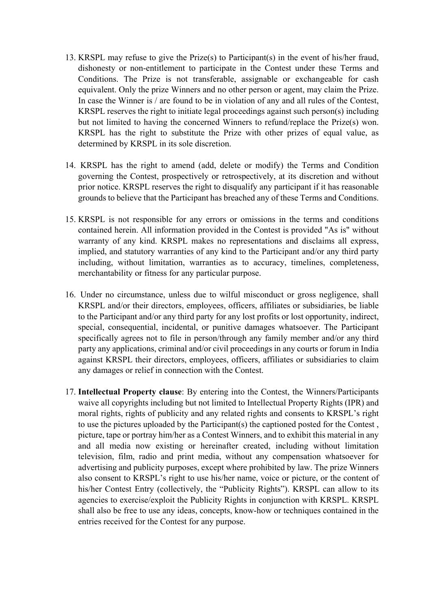- 13. KRSPL may refuse to give the Prize(s) to Participant(s) in the event of his/her fraud, dishonesty or non-entitlement to participate in the Contest under these Terms and Conditions. The Prize is not transferable, assignable or exchangeable for cash equivalent. Only the prize Winners and no other person or agent, may claim the Prize. In case the Winner is / are found to be in violation of any and all rules of the Contest, KRSPL reserves the right to initiate legal proceedings against such person(s) including but not limited to having the concerned Winners to refund/replace the Prize(s) won. KRSPL has the right to substitute the Prize with other prizes of equal value, as determined by KRSPL in its sole discretion.
- 14. KRSPL has the right to amend (add, delete or modify) the Terms and Condition governing the Contest, prospectively or retrospectively, at its discretion and without prior notice. KRSPL reserves the right to disqualify any participant if it has reasonable grounds to believe that the Participant has breached any of these Terms and Conditions.
- 15. KRSPL is not responsible for any errors or omissions in the terms and conditions contained herein. All information provided in the Contest is provided "As is" without warranty of any kind. KRSPL makes no representations and disclaims all express, implied, and statutory warranties of any kind to the Participant and/or any third party including, without limitation, warranties as to accuracy, timelines, completeness, merchantability or fitness for any particular purpose.
- 16. Under no circumstance, unless due to wilful misconduct or gross negligence, shall KRSPL and/or their directors, employees, officers, affiliates or subsidiaries, be liable to the Participant and/or any third party for any lost profits or lost opportunity, indirect, special, consequential, incidental, or punitive damages whatsoever. The Participant specifically agrees not to file in person/through any family member and/or any third party any applications, criminal and/or civil proceedings in any courts or forum in India against KRSPL their directors, employees, officers, affiliates or subsidiaries to claim any damages or relief in connection with the Contest.
- 17. **Intellectual Property clause**: By entering into the Contest, the Winners/Participants waive all copyrights including but not limited to Intellectual Property Rights (IPR) and moral rights, rights of publicity and any related rights and consents to KRSPL's right to use the pictures uploaded by the Participant(s) the captioned posted for the Contest , picture, tape or portray him/her as a Contest Winners, and to exhibit this material in any and all media now existing or hereinafter created, including without limitation television, film, radio and print media, without any compensation whatsoever for advertising and publicity purposes, except where prohibited by law. The prize Winners also consent to KRSPL's right to use his/her name, voice or picture, or the content of his/her Contest Entry (collectively, the "Publicity Rights"). KRSPL can allow to its agencies to exercise/exploit the Publicity Rights in conjunction with KRSPL. KRSPL shall also be free to use any ideas, concepts, know-how or techniques contained in the entries received for the Contest for any purpose.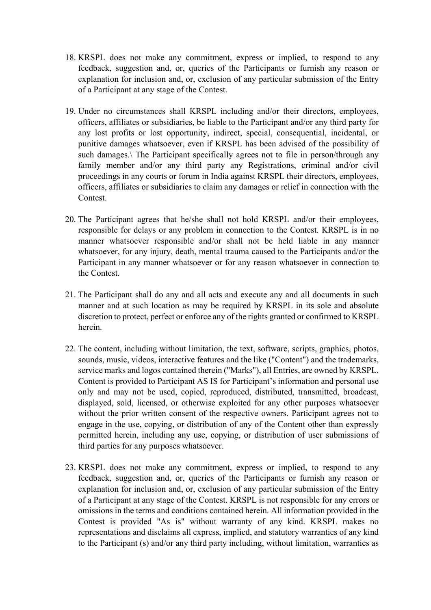- 18. KRSPL does not make any commitment, express or implied, to respond to any feedback, suggestion and, or, queries of the Participants or furnish any reason or explanation for inclusion and, or, exclusion of any particular submission of the Entry of a Participant at any stage of the Contest.
- 19. Under no circumstances shall KRSPL including and/or their directors, employees, officers, affiliates or subsidiaries, be liable to the Participant and/or any third party for any lost profits or lost opportunity, indirect, special, consequential, incidental, or punitive damages whatsoever, even if KRSPL has been advised of the possibility of such damages.\ The Participant specifically agrees not to file in person/through any family member and/or any third party any Registrations, criminal and/or civil proceedings in any courts or forum in India against KRSPL their directors, employees, officers, affiliates or subsidiaries to claim any damages or relief in connection with the Contest.
- 20. The Participant agrees that he/she shall not hold KRSPL and/or their employees, responsible for delays or any problem in connection to the Contest. KRSPL is in no manner whatsoever responsible and/or shall not be held liable in any manner whatsoever, for any injury, death, mental trauma caused to the Participants and/or the Participant in any manner whatsoever or for any reason whatsoever in connection to the Contest.
- 21. The Participant shall do any and all acts and execute any and all documents in such manner and at such location as may be required by KRSPL in its sole and absolute discretion to protect, perfect or enforce any of the rights granted or confirmed to KRSPL herein.
- 22. The content, including without limitation, the text, software, scripts, graphics, photos, sounds, music, videos, interactive features and the like ("Content") and the trademarks, service marks and logos contained therein ("Marks"), all Entries, are owned by KRSPL. Content is provided to Participant AS IS for Participant's information and personal use only and may not be used, copied, reproduced, distributed, transmitted, broadcast, displayed, sold, licensed, or otherwise exploited for any other purposes whatsoever without the prior written consent of the respective owners. Participant agrees not to engage in the use, copying, or distribution of any of the Content other than expressly permitted herein, including any use, copying, or distribution of user submissions of third parties for any purposes whatsoever.
- 23. KRSPL does not make any commitment, express or implied, to respond to any feedback, suggestion and, or, queries of the Participants or furnish any reason or explanation for inclusion and, or, exclusion of any particular submission of the Entry of a Participant at any stage of the Contest. KRSPL is not responsible for any errors or omissions in the terms and conditions contained herein. All information provided in the Contest is provided "As is" without warranty of any kind. KRSPL makes no representations and disclaims all express, implied, and statutory warranties of any kind to the Participant (s) and/or any third party including, without limitation, warranties as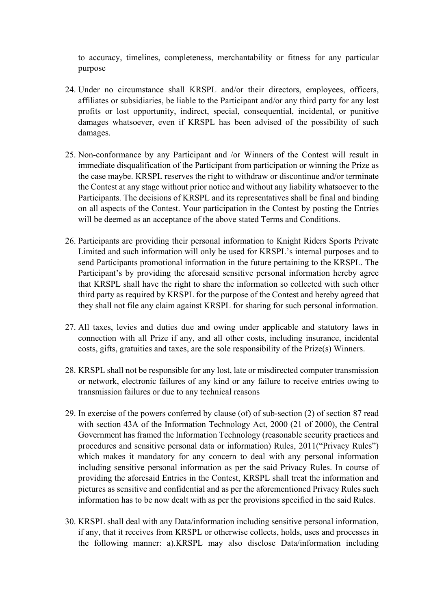to accuracy, timelines, completeness, merchantability or fitness for any particular purpose

- 24. Under no circumstance shall KRSPL and/or their directors, employees, officers, affiliates or subsidiaries, be liable to the Participant and/or any third party for any lost profits or lost opportunity, indirect, special, consequential, incidental, or punitive damages whatsoever, even if KRSPL has been advised of the possibility of such damages.
- 25. Non-conformance by any Participant and /or Winners of the Contest will result in immediate disqualification of the Participant from participation or winning the Prize as the case maybe. KRSPL reserves the right to withdraw or discontinue and/or terminate the Contest at any stage without prior notice and without any liability whatsoever to the Participants. The decisions of KRSPL and its representatives shall be final and binding on all aspects of the Contest. Your participation in the Contest by posting the Entries will be deemed as an acceptance of the above stated Terms and Conditions.
- 26. Participants are providing their personal information to Knight Riders Sports Private Limited and such information will only be used for KRSPL's internal purposes and to send Participants promotional information in the future pertaining to the KRSPL. The Participant's by providing the aforesaid sensitive personal information hereby agree that KRSPL shall have the right to share the information so collected with such other third party as required by KRSPL for the purpose of the Contest and hereby agreed that they shall not file any claim against KRSPL for sharing for such personal information.
- 27. All taxes, levies and duties due and owing under applicable and statutory laws in connection with all Prize if any, and all other costs, including insurance, incidental costs, gifts, gratuities and taxes, are the sole responsibility of the Prize(s) Winners.
- 28. KRSPL shall not be responsible for any lost, late or misdirected computer transmission or network, electronic failures of any kind or any failure to receive entries owing to transmission failures or due to any technical reasons
- 29. In exercise of the powers conferred by clause (of) of sub-section (2) of section 87 read with section 43A of the Information Technology Act, 2000 (21 of 2000), the Central Government has framed the Information Technology (reasonable security practices and procedures and sensitive personal data or information) Rules, 2011("Privacy Rules") which makes it mandatory for any concern to deal with any personal information including sensitive personal information as per the said Privacy Rules. In course of providing the aforesaid Entries in the Contest, KRSPL shall treat the information and pictures as sensitive and confidential and as per the aforementioned Privacy Rules such information has to be now dealt with as per the provisions specified in the said Rules.
- 30. KRSPL shall deal with any Data/information including sensitive personal information, if any, that it receives from KRSPL or otherwise collects, holds, uses and processes in the following manner: a).KRSPL may also disclose Data/information including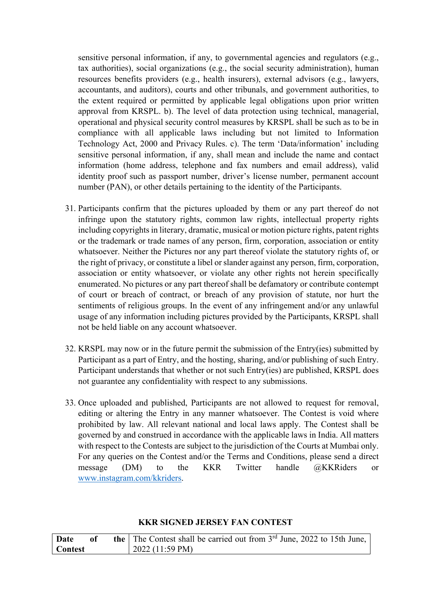sensitive personal information, if any, to governmental agencies and regulators (e.g., tax authorities), social organizations (e.g., the social security administration), human resources benefits providers (e.g., health insurers), external advisors (e.g., lawyers, accountants, and auditors), courts and other tribunals, and government authorities, to the extent required or permitted by applicable legal obligations upon prior written approval from KRSPL. b). The level of data protection using technical, managerial, operational and physical security control measures by KRSPL shall be such as to be in compliance with all applicable laws including but not limited to Information Technology Act, 2000 and Privacy Rules. c). The term 'Data/information' including sensitive personal information, if any, shall mean and include the name and contact information (home address, telephone and fax numbers and email address), valid identity proof such as passport number, driver's license number, permanent account number (PAN), or other details pertaining to the identity of the Participants.

- 31. Participants confirm that the pictures uploaded by them or any part thereof do not infringe upon the statutory rights, common law rights, intellectual property rights including copyrights in literary, dramatic, musical or motion picture rights, patent rights or the trademark or trade names of any person, firm, corporation, association or entity whatsoever. Neither the Pictures nor any part thereof violate the statutory rights of, or the right of privacy, or constitute a libel or slander against any person, firm, corporation, association or entity whatsoever, or violate any other rights not herein specifically enumerated. No pictures or any part thereof shall be defamatory or contribute contempt of court or breach of contract, or breach of any provision of statute, nor hurt the sentiments of religious groups. In the event of any infringement and/or any unlawful usage of any information including pictures provided by the Participants, KRSPL shall not be held liable on any account whatsoever.
- 32. KRSPL may now or in the future permit the submission of the Entry(ies) submitted by Participant as a part of Entry, and the hosting, sharing, and/or publishing of such Entry. Participant understands that whether or not such Entry(ies) are published, KRSPL does not guarantee any confidentiality with respect to any submissions.
- 33. Once uploaded and published, Participants are not allowed to request for removal, editing or altering the Entry in any manner whatsoever. The Contest is void where prohibited by law. All relevant national and local laws apply. The Contest shall be governed by and construed in accordance with the applicable laws in India. All matters with respect to the Contests are subject to the jurisdiction of the Courts at Mumbai only. For any queries on the Contest and/or the Terms and Conditions, please send a direct message (DM) to the KKR Twitter handle @KKRiders or [www.instagram.com/kkriders.](http://www.instagram.com/kkriders)

| KKR SIGNED JERSEY FAN CONTEST |  |  |
|-------------------------------|--|--|
|-------------------------------|--|--|

| Date           | of | <b>the</b> The Contest shall be carried out from $3^{rd}$ June, 2022 to 15th June, |
|----------------|----|------------------------------------------------------------------------------------|
| <b>Contest</b> |    | $\mid$ 2022 (11:59 PM)                                                             |